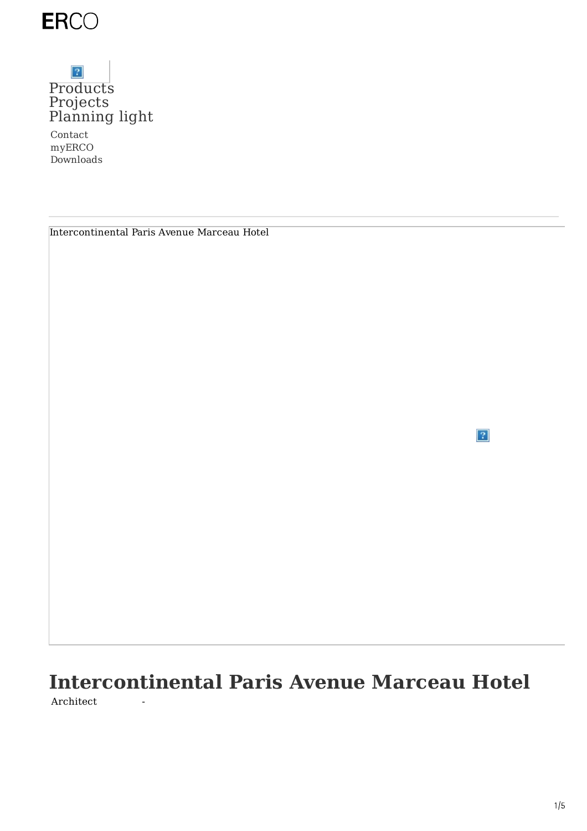

### $\boldsymbol{\gamma}$ [Products](https://www.erco.com/en_us/products/products-7293/) [Projects](https://www.erco.com/en_us/projects/projects-7292/) [Planning](https://www.erco.com/en_us/designing-with-light/designing-with-light-7294/) light

Contact myERCO Downloads

| Intercontinental Paris Avenue Marceau Hotel |
|---------------------------------------------|
|---------------------------------------------|

 $\sqrt{2}$ 

# **Intercontinental Paris Avenue Marceau Hotel** Architect -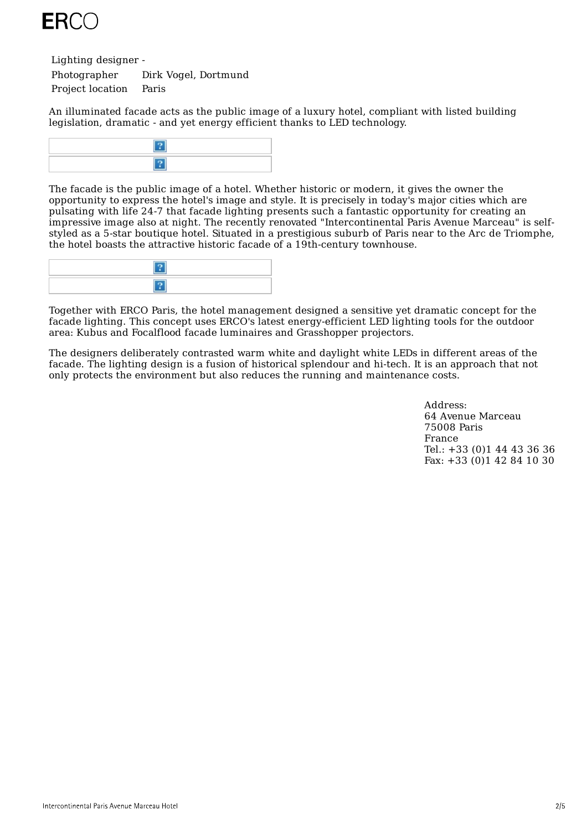

Lighting designer -

Photographer Dirk Vogel, Dortmund Project location Paris

An illuminated facade acts as the public image of a luxury hotel, compliant with listed building legislation, dramatic - and yet energy efficient thanks to LED technology.



The facade is the public image of a hotel. Whether historic or modern, it gives the owner the opportunity to express the hotel's image and style. It is precisely in today's major cities which are pulsating with life 24-7 that facade lighting presents such a fantastic opportunity for creating an impressive image also at night. The recently renovated "Intercontinental Paris Avenue Marceau" is selfstyled as a 5-star boutique hotel. Situated in a prestigious suburb of Paris near to the Arc de Triomphe, the hotel boasts the attractive historic facade of a 19th-century townhouse.



Together with ERCO Paris, the hotel management designed a sensitive yet dramatic concept for the facade lighting. This concept uses ERCO's latest energy-efficient LED lighting tools for the outdoor area: Kubus and Focalflood facade luminaires and Grasshopper projectors.

The designers deliberately contrasted warm white and daylight white LEDs in different areas of the facade. The lighting design is a fusion of historical splendour and hi-tech. It is an approach that not only protects the environment but also reduces the running and maintenance costs.

> Address: 64 Avenue Marceau 75008 Paris France Tel.: +33 (0)1 44 43 36 36 Fax: +33 (0)1 42 84 10 30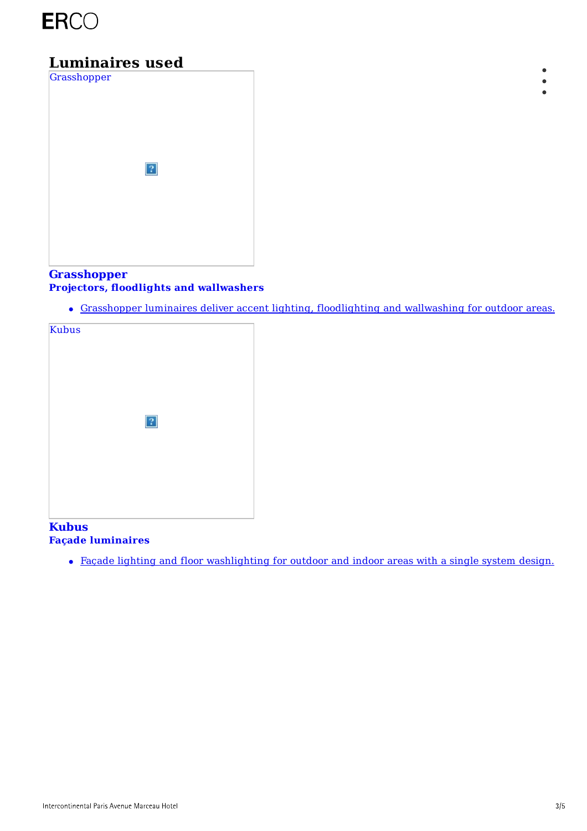

## **Luminaires used**



### **[Grasshopper](https://www.erco.com/en_us/products/outdoor/projectors-floodlights-and-wallwashers/grasshopper-2331/) Projectors, floodlights and wallwashers**

Grasshopper luminaires deliver accent lighting, floodlighting and wallwashing for outdoor areas.



#### **Kubus Façade luminaires**

Façade lighting and floor [washlighting](https://www.erco.com/en_us/products/outdoor/facade-luminaires/kubus-3016/) for outdoor and indoor areas with a single system design.

 $\bullet$  $\bullet$  $\bullet$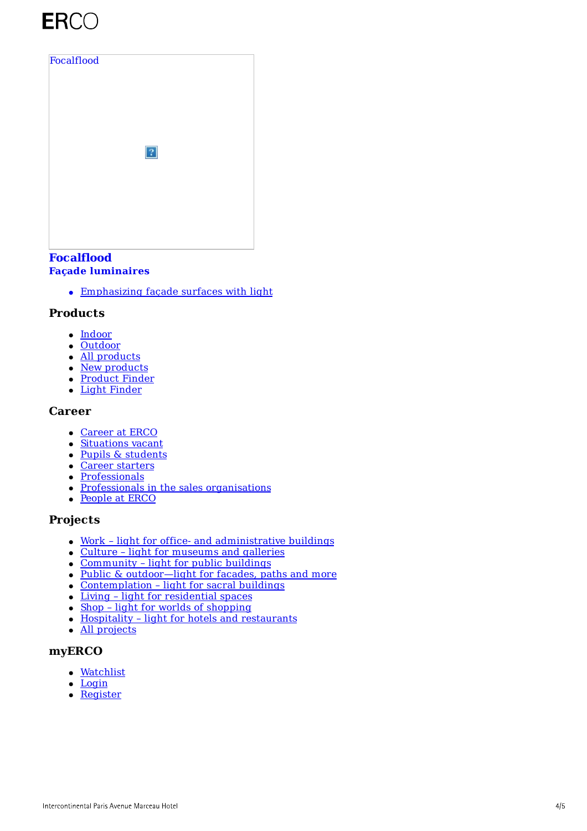# ERCO



#### **[Focalflood](https://www.erco.com/en_us/products/outdoor/facade-luminaires/focalflood-2332/) Façade luminaires**

Emphasizing façade surfaces with light

#### **Products**

- [Indoor](https://www.erco.com/en_us/products/indoor/overview-5760/)
- [Outdoor](https://www.erco.com/en_us/products/outdoor/overview-5764/)
- All [products](https://www.erco.com/en_us/products/products-6202/)
- New [products](https://www.erco.com/en_us/projects/focus/products/new-products-2022-1-7358/)
- [Product](https://www.erco.com/en_us/products/product-finder-7093/) Finder
- Light [Finder](https://www.erco.com/en_us/products/light-finder-7133/)

#### **Career**

- [Career](https://www.erco.com/en_us/career/career-at-erco-7019/) at ERCO
- [Situations](https://www.erco.com/en_us/career/situations-vacant-7032/) vacant
- Pupils & [students](https://www.erco.com/en_us/career/pupils-students/vocational-training-and-dual-studies-7020/)
- Career [starters](https://www.erco.com/en_us/career/career-at-erco/career-starters-7016/)
- [Professionals](https://www.erco.com/en_us/career/career-at-erco/professionals-7017/)
- Professionals in the sales [organisations](https://www.erco.com/en_us/career/career-at-erco/professionals-in-the-sales-organisations-7018/)
- [People](https://www.erco.com/en_us/career/people-at-erco-7021/) at ERCO

#### **Projects**

- Work light for office- and [administrative](https://www.erco.com/en_us/projects/projects-6200/?filter=work) buildings
- Culture light for [museums](https://www.erco.com/en_us/projects/projects-6200/?filter=culture) and galleries
- [Community](https://www.erco.com/en_us/projects/projects-6200/?filter=community) light for public buildings
- Public & [outdoor—light](https://www.erco.com/en_us/projects/projects-6200/?filter=public) for facades, paths and more
- [Contemplation](https://www.erco.com/en_us/projects/projects-6200/?filter=contemplation) light for sacral buildings
- Living light for [residential](https://www.erco.com/en_us/projects/projects-6200/?filter=living) spaces
- $\bullet$  Shop light for worlds of [shopping](https://www.erco.com/en_us/projects/projects-6200/?filter=shop)
- Hospitality light for hotels and [restaurants](https://www.erco.com/en_us/projects/projects-6200/?filter=hospitality)
- All [projects](https://www.erco.com/en_us/projects/projects-6200/)

#### **myERCO**

- [Watchlist](https://lightfinder.erco.com/myerco/en_us)
- $\bullet$  [Login](https://lightfinder.erco.com/myerco/auth/form_login/en_us)
- [Register](https://lightfinder.erco.com/myerco/auth/create_user/en_us)